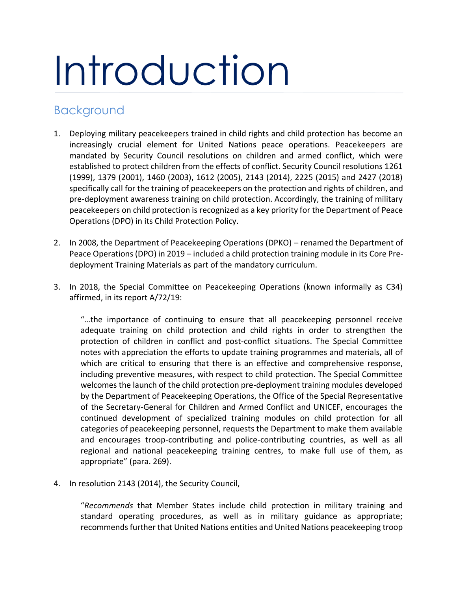# Introduction

## Background

- 1. Deploying military peacekeepers trained in child rights and child protection has become an increasingly crucial element for United Nations peace operations. Peacekeepers are mandated by Security Council resolutions on children and armed conflict, which were established to protect children from the effects of conflict. Security Council resolutions 1261 (1999), 1379 (2001), 1460 (2003), 1612 (2005), 2143 (2014), 2225 (2015) and 2427 (2018) specifically call for the training of peacekeepers on the protection and rights of children, and pre-deployment awareness training on child protection. Accordingly, the training of military peacekeepers on child protection is recognized as a key priority for the Department of Peace Operations (DPO) in its Child Protection Policy.
- 2. In 2008, the Department of Peacekeeping Operations (DPKO) renamed the Department of Peace Operations (DPO) in 2019 – included a child protection training module in its Core Predeployment Training Materials as part of the mandatory curriculum.
- 3. In 2018, the Special Committee on Peacekeeping Operations (known informally as C34) affirmed, in its report A/72/19:

"…the importance of continuing to ensure that all peacekeeping personnel receive adequate training on child protection and child rights in order to strengthen the protection of children in conflict and post-conflict situations. The Special Committee notes with appreciation the efforts to update training programmes and materials, all of which are critical to ensuring that there is an effective and comprehensive response, including preventive measures, with respect to child protection. The Special Committee welcomes the launch of the child protection pre-deployment training modules developed by the Department of Peacekeeping Operations, the Office of the Special Representative of the Secretary-General for Children and Armed Conflict and UNICEF, encourages the continued development of specialized training modules on child protection for all categories of peacekeeping personnel, requests the Department to make them available and encourages troop-contributing and police-contributing countries, as well as all regional and national peacekeeping training centres, to make full use of them, as appropriate" (para. 269).

4. In resolution 2143 (2014), the Security Council,

"*Recommends* that Member States include child protection in military training and standard operating procedures, as well as in military guidance as appropriate; recommends further that United Nations entities and United Nations peacekeeping troop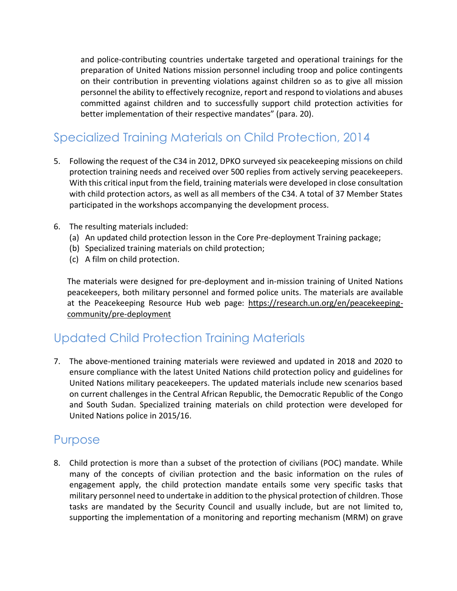and police-contributing countries undertake targeted and operational trainings for the preparation of United Nations mission personnel including troop and police contingents on their contribution in preventing violations against children so as to give all mission personnel the ability to effectively recognize, report and respond to violations and abuses committed against children and to successfully support child protection activities for better implementation of their respective mandates" (para. 20).

# Specialized Training Materials on Child Protection, 2014

- 5. Following the request of the C34 in 2012, DPKO surveyed six peacekeeping missions on child protection training needs and received over 500 replies from actively serving peacekeepers. With this critical input from the field, training materials were developed in close consultation with child protection actors, as well as all members of the C34. A total of 37 Member States participated in the workshops accompanying the development process.
- 6. The resulting materials included:
	- (a) An updated child protection lesson in the Core Pre-deployment Training package;
	- (b) Specialized training materials on child protection;
	- (c) A film on child protection.

The materials were designed for pre-deployment and in-mission training of United Nations peacekeepers, both military personnel and formed police units. The materials are available at the Peacekeeping Resource Hub web page: [https://research.un.org/en/peacekeeping](https://research.un.org/en/peacekeeping-community/pre-deployment)[community/pre-deployment](https://research.un.org/en/peacekeeping-community/pre-deployment)

## Updated Child Protection Training Materials

7. The above-mentioned training materials were reviewed and updated in 2018 and 2020 to ensure compliance with the latest United Nations child protection policy and guidelines for United Nations military peacekeepers. The updated materials include new scenarios based on current challenges in the Central African Republic, the Democratic Republic of the Congo and South Sudan. Specialized training materials on child protection were developed for United Nations police in 2015/16.

## Purpose

8. Child protection is more than a subset of the protection of civilians (POC) mandate. While many of the concepts of civilian protection and the basic information on the rules of engagement apply, the child protection mandate entails some very specific tasks that military personnel need to undertake in addition to the physical protection of children. Those tasks are mandated by the Security Council and usually include, but are not limited to, supporting the implementation of a monitoring and reporting mechanism (MRM) on grave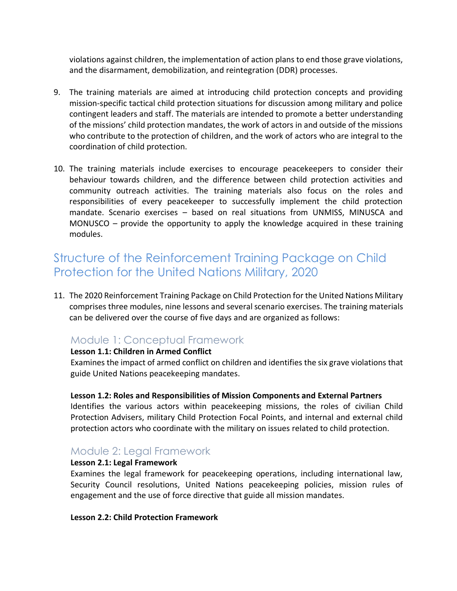violations against children, the implementation of action plans to end those grave violations, and the disarmament, demobilization, and reintegration (DDR) processes.

- 9. The training materials are aimed at introducing child protection concepts and providing mission-specific tactical child protection situations for discussion among military and police contingent leaders and staff. The materials are intended to promote a better understanding of the missions' child protection mandates, the work of actors in and outside of the missions who contribute to the protection of children, and the work of actors who are integral to the coordination of child protection.
- 10. The training materials include exercises to encourage peacekeepers to consider their behaviour towards children, and the difference between child protection activities and community outreach activities. The training materials also focus on the roles and responsibilities of every peacekeeper to successfully implement the child protection mandate. Scenario exercises – based on real situations from UNMISS, MINUSCA and MONUSCO – provide the opportunity to apply the knowledge acquired in these training modules.

## Structure of the Reinforcement Training Package on Child Protection for the United Nations Military, 2020

11. The 2020 Reinforcement Training Package on Child Protection for the United Nations Military comprises three modules, nine lessons and several scenario exercises. The training materials can be delivered over the course of five days and are organized as follows:

## Module 1: Conceptual Framework

#### **Lesson 1.1: Children in Armed Conflict**

Examines the impact of armed conflict on children and identifies the six grave violations that guide United Nations peacekeeping mandates.

#### **Lesson 1.2: Roles and Responsibilities of Mission Components and External Partners**

Identifies the various actors within peacekeeping missions, the roles of civilian Child Protection Advisers, military Child Protection Focal Points, and internal and external child protection actors who coordinate with the military on issues related to child protection.

## Module 2: Legal Framework

#### **Lesson 2.1: Legal Framework**

Examines the legal framework for peacekeeping operations, including international law, Security Council resolutions, United Nations peacekeeping policies, mission rules of engagement and the use of force directive that guide all mission mandates.

#### **Lesson 2.2: Child Protection Framework**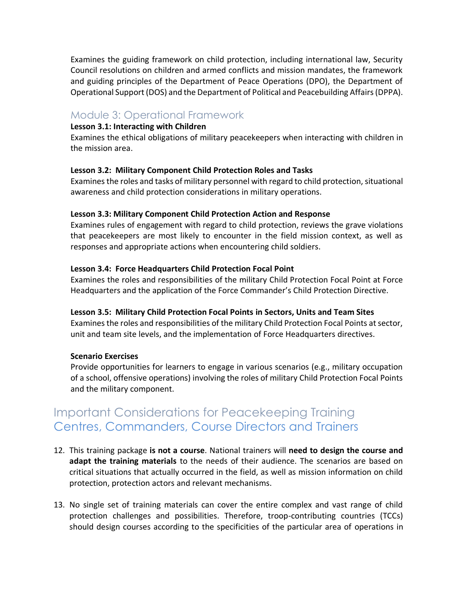Examines the guiding framework on child protection, including international law, Security Council resolutions on children and armed conflicts and mission mandates, the framework and guiding principles of the Department of Peace Operations (DPO), the Department of Operational Support (DOS) and the Department of Political and Peacebuilding Affairs (DPPA).

### Module 3: Operational Framework

#### **Lesson 3.1: Interacting with Children**

Examines the ethical obligations of military peacekeepers when interacting with children in the mission area.

#### **Lesson 3.2: Military Component Child Protection Roles and Tasks**

Examines the roles and tasks of military personnel with regard to child protection, situational awareness and child protection considerations in military operations.

#### **Lesson 3.3: Military Component Child Protection Action and Response**

Examines rules of engagement with regard to child protection, reviews the grave violations that peacekeepers are most likely to encounter in the field mission context, as well as responses and appropriate actions when encountering child soldiers.

#### **Lesson 3.4: Force Headquarters Child Protection Focal Point**

Examines the roles and responsibilities of the military Child Protection Focal Point at Force Headquarters and the application of the Force Commander's Child Protection Directive.

#### **Lesson 3.5: Military Child Protection Focal Points in Sectors, Units and Team Sites**

Examines the roles and responsibilities of the military Child Protection Focal Points at sector, unit and team site levels, and the implementation of Force Headquarters directives.

#### **Scenario Exercises**

Provide opportunities for learners to engage in various scenarios (e.g., military occupation of a school, offensive operations) involving the roles of military Child Protection Focal Points and the military component.

## Important Considerations for Peacekeeping Training Centres, Commanders, Course Directors and Trainers

- 12. This training package **is not a course**. National trainers will **need to design the course and adapt the training materials** to the needs of their audience. The scenarios are based on critical situations that actually occurred in the field, as well as mission information on child protection, protection actors and relevant mechanisms.
- 13. No single set of training materials can cover the entire complex and vast range of child protection challenges and possibilities. Therefore, troop-contributing countries (TCCs) should design courses according to the specificities of the particular area of operations in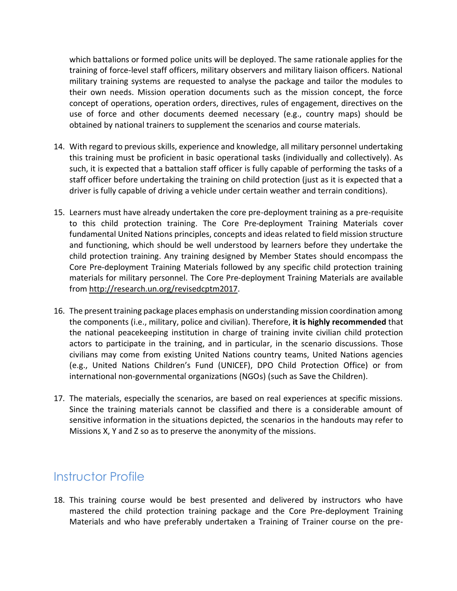which battalions or formed police units will be deployed. The same rationale applies for the training of force-level staff officers, military observers and military liaison officers. National military training systems are requested to analyse the package and tailor the modules to their own needs. Mission operation documents such as the mission concept, the force concept of operations, operation orders, directives, rules of engagement, directives on the use of force and other documents deemed necessary (e.g., country maps) should be obtained by national trainers to supplement the scenarios and course materials.

- 14. With regard to previous skills, experience and knowledge, all military personnel undertaking this training must be proficient in basic operational tasks (individually and collectively). As such, it is expected that a battalion staff officer is fully capable of performing the tasks of a staff officer before undertaking the training on child protection (just as it is expected that a driver is fully capable of driving a vehicle under certain weather and terrain conditions).
- 15. Learners must have already undertaken the core pre-deployment training as a pre-requisite to this child protection training. The Core Pre-deployment Training Materials cover fundamental United Nations principles, concepts and ideas related to field mission structure and functioning, which should be well understood by learners before they undertake the child protection training. Any training designed by Member States should encompass the Core Pre-deployment Training Materials followed by any specific child protection training materials for military personnel. The Core Pre-deployment Training Materials are available from [http://research.un.org/revisedcptm2017.](http://research.un.org/revisedcptm2017)
- 16. The present training package places emphasis on understanding mission coordination among the components (i.e., military, police and civilian). Therefore, **it is highly recommended** that the national peacekeeping institution in charge of training invite civilian child protection actors to participate in the training, and in particular, in the scenario discussions. Those civilians may come from existing United Nations country teams, United Nations agencies (e.g., United Nations Children's Fund (UNICEF), DPO Child Protection Office) or from international non-governmental organizations (NGOs) (such as Save the Children).
- 17. The materials, especially the scenarios, are based on real experiences at specific missions. Since the training materials cannot be classified and there is a considerable amount of sensitive information in the situations depicted, the scenarios in the handouts may refer to Missions X, Y and Z so as to preserve the anonymity of the missions.

## Instructor Profile

18. This training course would be best presented and delivered by instructors who have mastered the child protection training package and the Core Pre-deployment Training Materials and who have preferably undertaken a Training of Trainer course on the pre-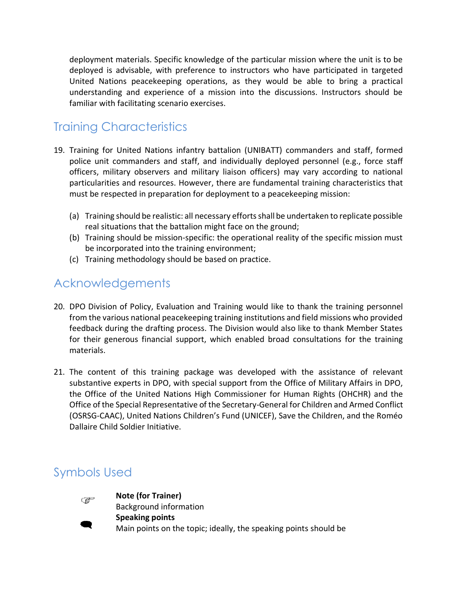deployment materials. Specific knowledge of the particular mission where the unit is to be deployed is advisable, with preference to instructors who have participated in targeted United Nations peacekeeping operations, as they would be able to bring a practical understanding and experience of a mission into the discussions. Instructors should be familiar with facilitating scenario exercises.

# Training Characteristics

- 19. Training for United Nations infantry battalion (UNIBATT) commanders and staff, formed police unit commanders and staff, and individually deployed personnel (e.g., force staff officers, military observers and military liaison officers) may vary according to national particularities and resources. However, there are fundamental training characteristics that must be respected in preparation for deployment to a peacekeeping mission:
	- (a) Training should be realistic: all necessary efforts shall be undertaken to replicate possible real situations that the battalion might face on the ground;
	- (b) Training should be mission-specific: the operational reality of the specific mission must be incorporated into the training environment;
	- (c) Training methodology should be based on practice.

## Acknowledgements

- 20. DPO Division of Policy, Evaluation and Training would like to thank the training personnel from the various national peacekeeping training institutions and field missions who provided feedback during the drafting process. The Division would also like to thank Member States for their generous financial support, which enabled broad consultations for the training materials.
- 21. The content of this training package was developed with the assistance of relevant substantive experts in DPO, with special support from the Office of Military Affairs in DPO, the Office of the United Nations High Commissioner for Human Rights (OHCHR) and the Office of the Special Representative of the Secretary-General for Children and Armed Conflict (OSRSG-CAAC), United Nations Children's Fund (UNICEF), Save the Children, and the Roméo Dallaire Child Soldier Initiative.

# Symbols Used



**Note (for Trainer)**  Background information **Speaking points**  Main points on the topic; ideally, the speaking points should be